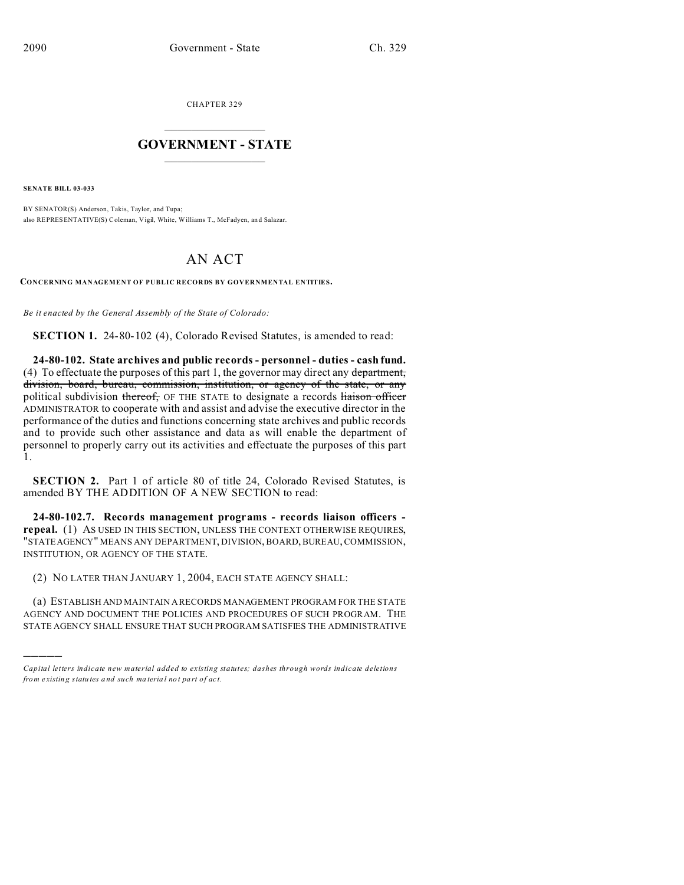CHAPTER 329  $\overline{\phantom{a}}$  , where  $\overline{\phantom{a}}$ 

## **GOVERNMENT - STATE**  $\_$   $\_$   $\_$   $\_$   $\_$   $\_$   $\_$   $\_$   $\_$

**SENATE BILL 03-033**

)))))

BY SENATOR(S) Anderson, Takis, Taylor, and Tupa; also REPRESENTATIVE(S) Coleman, Vigil, White, Williams T., McFadyen, and Salazar.

## AN ACT

**CONCERNING MANAGEMENT OF PUBLIC RECORDS BY GOVERNMENTAL ENTITIES.**

*Be it enacted by the General Assembly of the State of Colorado:*

**SECTION 1.** 24-80-102 (4), Colorado Revised Statutes, is amended to read:

**24-80-102. State archives and public records - personnel - duties - cash fund.** (4) To effectuate the purposes of this part 1, the governor may direct any department, division, board, bureau, commission, institution, or agency of the state, or any political subdivision thereof, OF THE STATE to designate a records liaison officer ADMINISTRATOR to cooperate with and assist and advise the executive director in the performance of the duties and functions concerning state archives and public records and to provide such other assistance and data as will enable the department of personnel to properly carry out its activities and effectuate the purposes of this part 1.

**SECTION 2.** Part 1 of article 80 of title 24, Colorado Revised Statutes, is amended BY THE ADDITION OF A NEW SECTION to read:

**24-80-102.7. Records management programs - records liaison officers repeal.** (1) AS USED IN THIS SECTION, UNLESS THE CONTEXT OTHERWISE REQUIRES, "STATEAGENCY" MEANS ANY DEPARTMENT, DIVISION, BOARD, BUREAU, COMMISSION, INSTITUTION, OR AGENCY OF THE STATE.

(2) NO LATER THAN JANUARY 1, 2004, EACH STATE AGENCY SHALL:

(a) ESTABLISH AND MAINTAIN A RECORDS MANAGEMENT PROGRAM FOR THE STATE AGENCY AND DOCUMENT THE POLICIES AND PROCEDURES OF SUCH PROGRAM. THE STATE AGENCY SHALL ENSURE THAT SUCH PROGRAM SATISFIES THE ADMINISTRATIVE

*Capital letters indicate new material added to existing statutes; dashes through words indicate deletions from e xistin g statu tes a nd such ma teria l no t pa rt of ac t.*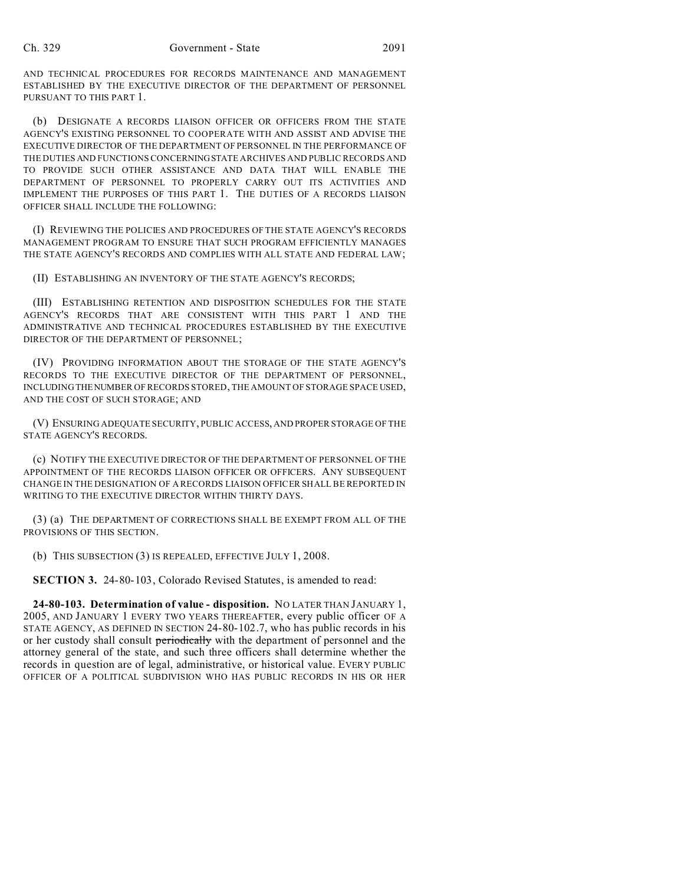AND TECHNICAL PROCEDURES FOR RECORDS MAINTENANCE AND MANAGEMENT ESTABLISHED BY THE EXECUTIVE DIRECTOR OF THE DEPARTMENT OF PERSONNEL PURSUANT TO THIS PART 1.

(b) DESIGNATE A RECORDS LIAISON OFFICER OR OFFICERS FROM THE STATE AGENCY'S EXISTING PERSONNEL TO COOPERATE WITH AND ASSIST AND ADVISE THE EXECUTIVE DIRECTOR OF THE DEPARTMENT OF PERSONNEL IN THE PERFORMANCE OF THE DUTIES AND FUNCTIONS CONCERNINGSTATE ARCHIVES AND PUBLIC RECORDS AND TO PROVIDE SUCH OTHER ASSISTANCE AND DATA THAT WILL ENABLE THE DEPARTMENT OF PERSONNEL TO PROPERLY CARRY OUT ITS ACTIVITIES AND IMPLEMENT THE PURPOSES OF THIS PART 1. THE DUTIES OF A RECORDS LIAISON OFFICER SHALL INCLUDE THE FOLLOWING:

(I) REVIEWING THE POLICIES AND PROCEDURES OF THE STATE AGENCY'S RECORDS MANAGEMENT PROGRAM TO ENSURE THAT SUCH PROGRAM EFFICIENTLY MANAGES THE STATE AGENCY'S RECORDS AND COMPLIES WITH ALL STATE AND FEDERAL LAW;

(II) ESTABLISHING AN INVENTORY OF THE STATE AGENCY'S RECORDS;

(III) ESTABLISHING RETENTION AND DISPOSITION SCHEDULES FOR THE STATE AGENCY'S RECORDS THAT ARE CONSISTENT WITH THIS PART 1 AND THE ADMINISTRATIVE AND TECHNICAL PROCEDURES ESTABLISHED BY THE EXECUTIVE DIRECTOR OF THE DEPARTMENT OF PERSONNEL;

(IV) PROVIDING INFORMATION ABOUT THE STORAGE OF THE STATE AGENCY'S RECORDS TO THE EXECUTIVE DIRECTOR OF THE DEPARTMENT OF PERSONNEL, INCLUDING THENUMBER OF RECORDS STORED, THE AMOUNT OF STORAGE SPACE USED, AND THE COST OF SUCH STORAGE; AND

(V) ENSURING ADEQUATE SECURITY, PUBLIC ACCESS, AND PROPER STORAGE OF THE STATE AGENCY'S RECORDS.

(c) NOTIFY THE EXECUTIVE DIRECTOR OF THE DEPARTMENT OF PERSONNEL OF THE APPOINTMENT OF THE RECORDS LIAISON OFFICER OR OFFICERS. ANY SUBSEQUENT CHANGE IN THE DESIGNATION OF A RECORDS LIAISON OFFICER SHALL BE REPORTED IN WRITING TO THE EXECUTIVE DIRECTOR WITHIN THIRTY DAYS.

(3) (a) THE DEPARTMENT OF CORRECTIONS SHALL BE EXEMPT FROM ALL OF THE PROVISIONS OF THIS SECTION.

(b) THIS SUBSECTION (3) IS REPEALED, EFFECTIVE JULY 1, 2008.

**SECTION 3.** 24-80-103, Colorado Revised Statutes, is amended to read:

**24-80-103. Determination of value - disposition.** NO LATER THAN JANUARY 1, 2005, AND JANUARY 1 EVERY TWO YEARS THEREAFTER, every public officer OF A STATE AGENCY, AS DEFINED IN SECTION 24-80-102.7, who has public records in his or her custody shall consult periodically with the department of personnel and the attorney general of the state, and such three officers shall determine whether the records in question are of legal, administrative, or historical value. EVERY PUBLIC OFFICER OF A POLITICAL SUBDIVISION WHO HAS PUBLIC RECORDS IN HIS OR HER